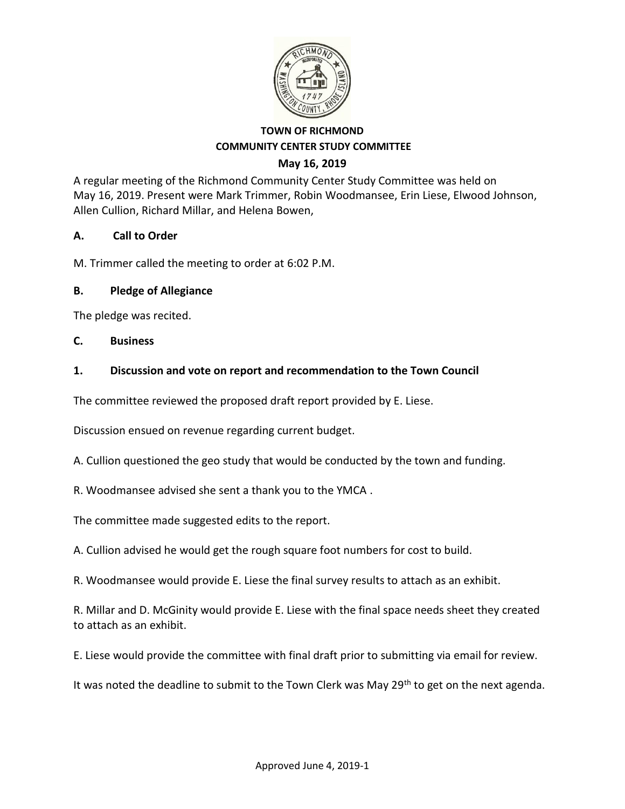

#### **TOWN OF RICHMOND COMMUNITY CENTER STUDY COMMITTEE May 16, 2019**

A regular meeting of the Richmond Community Center Study Committee was held on May 16, 2019. Present were Mark Trimmer, Robin Woodmansee, Erin Liese, Elwood Johnson, Allen Cullion, Richard Millar, and Helena Bowen,

## **A. Call to Order**

M. Trimmer called the meeting to order at 6:02 P.M.

### **B. Pledge of Allegiance**

The pledge was recited.

#### **C. Business**

### **1. Discussion and vote on report and recommendation to the Town Council**

The committee reviewed the proposed draft report provided by E. Liese.

Discussion ensued on revenue regarding current budget.

A. Cullion questioned the geo study that would be conducted by the town and funding.

R. Woodmansee advised she sent a thank you to the YMCA .

The committee made suggested edits to the report.

A. Cullion advised he would get the rough square foot numbers for cost to build.

R. Woodmansee would provide E. Liese the final survey results to attach as an exhibit.

R. Millar and D. McGinity would provide E. Liese with the final space needs sheet they created to attach as an exhibit.

E. Liese would provide the committee with final draft prior to submitting via email for review.

It was noted the deadline to submit to the Town Clerk was May  $29<sup>th</sup>$  to get on the next agenda.